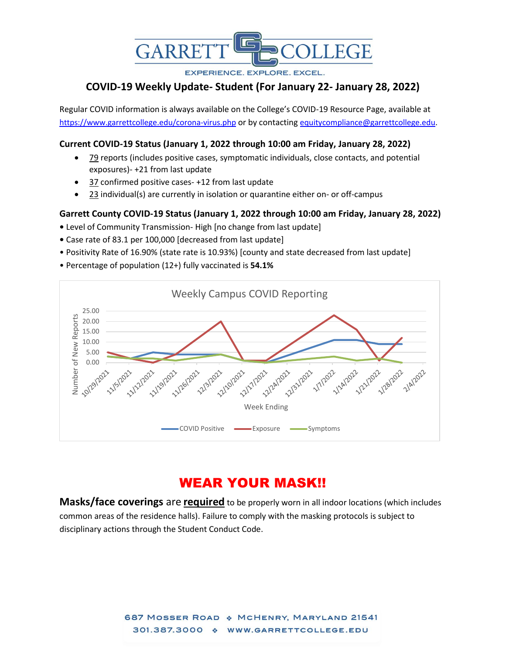

**EXPERIENCE, EXPLORE, EXCEL.** 

## **COVID-19 Weekly Update- Student (For January 22- January 28, 2022)**

Regular COVID information is always available on the College's COVID-19 Resource Page, available at <https://www.garrettcollege.edu/corona-virus.php> or by contacting [equitycompliance@garrettcollege.edu.](mailto:equitycompliance@garrettcollege.edu)

### **Current COVID-19 Status (January 1, 2022 through 10:00 am Friday, January 28, 2022)**

- 79 reports (includes positive cases, symptomatic individuals, close contacts, and potential exposures)- +21 from last update
- 37 confirmed positive cases- +12 from last update
- $23$  individual(s) are currently in isolation or quarantine either on- or off-campus

#### **Garrett County COVID-19 Status (January 1, 2022 through 10:00 am Friday, January 28, 2022)**

- Level of Community Transmission- High [no change from last update]
- Case rate of 83.1 per 100,000 [decreased from last update]
- Positivity Rate of 16.90% (state rate is 10.93%) [county and state decreased from last update]
- Percentage of population (12+) fully vaccinated is **54.1%**



# WEAR YOUR MASK!!

**Masks/face coverings** are **required** to be properly worn in all indoor locations (which includes common areas of the residence halls). Failure to comply with the masking protocols is subject to disciplinary actions through the Student Conduct Code.

> 687 MOSSER ROAD & MCHENRY, MARYLAND 21541 301.387.3000 \* WWW.GARRETTCOLLEGE.EDU